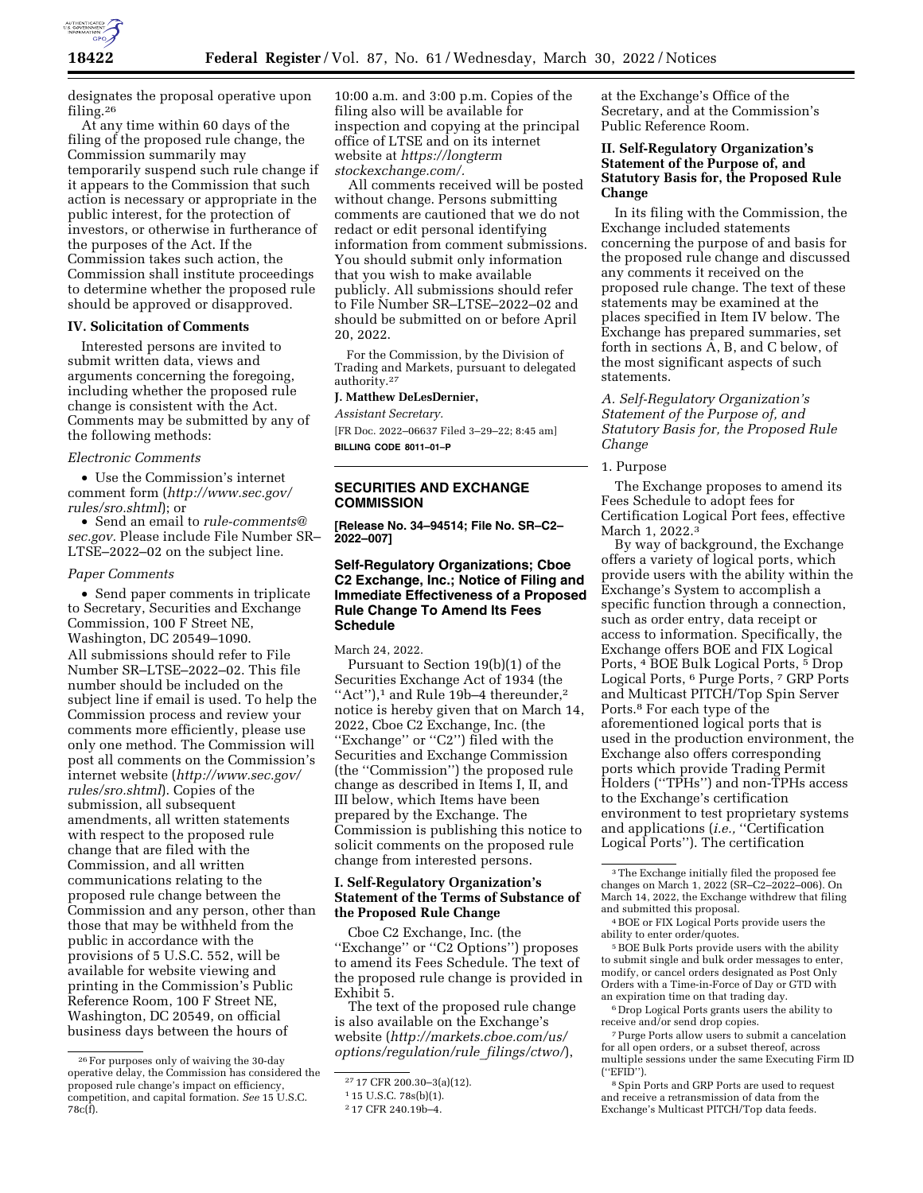

designates the proposal operative upon filing.26

At any time within 60 days of the filing of the proposed rule change, the Commission summarily may temporarily suspend such rule change if it appears to the Commission that such action is necessary or appropriate in the public interest, for the protection of investors, or otherwise in furtherance of the purposes of the Act. If the Commission takes such action, the Commission shall institute proceedings to determine whether the proposed rule should be approved or disapproved.

#### **IV. Solicitation of Comments**

Interested persons are invited to submit written data, views and arguments concerning the foregoing, including whether the proposed rule change is consistent with the Act. Comments may be submitted by any of the following methods:

#### *Electronic Comments*

• Use the Commission's internet comment form (*[http://www.sec.gov/](http://www.sec.gov/rules/sro.shtml)  [rules/sro.shtml](http://www.sec.gov/rules/sro.shtml)*); or

• Send an email to *[rule-comments@](mailto:rule-comments@sec.gov) [sec.gov.](mailto:rule-comments@sec.gov)* Please include File Number SR– LTSE–2022–02 on the subject line.

#### *Paper Comments*

• Send paper comments in triplicate to Secretary, Securities and Exchange Commission, 100 F Street NE, Washington, DC 20549–1090. All submissions should refer to File Number SR–LTSE–2022–02. This file number should be included on the subject line if email is used. To help the Commission process and review your comments more efficiently, please use only one method. The Commission will post all comments on the Commission's internet website (*[http://www.sec.gov/](http://www.sec.gov/rules/sro.shtml)  [rules/sro.shtml](http://www.sec.gov/rules/sro.shtml)*). Copies of the submission, all subsequent amendments, all written statements with respect to the proposed rule change that are filed with the Commission, and all written communications relating to the proposed rule change between the Commission and any person, other than those that may be withheld from the public in accordance with the provisions of 5 U.S.C. 552, will be available for website viewing and printing in the Commission's Public Reference Room, 100 F Street NE, Washington, DC 20549, on official business days between the hours of

10:00 a.m. and 3:00 p.m. Copies of the filing also will be available for inspection and copying at the principal office of LTSE and on its internet website at *[https://longterm](https://longtermstockexchange.com/) [stockexchange.com/.](https://longtermstockexchange.com/)* 

All comments received will be posted without change. Persons submitting comments are cautioned that we do not redact or edit personal identifying information from comment submissions. You should submit only information that you wish to make available publicly. All submissions should refer to File Number SR–LTSE–2022–02 and should be submitted on or before April 20, 2022.

For the Commission, by the Division of Trading and Markets, pursuant to delegated authority.27

**J. Matthew DeLesDernier,** 

*Assistant Secretary.* 

[FR Doc. 2022–06637 Filed 3–29–22; 8:45 am] **BILLING CODE 8011–01–P** 

# **SECURITIES AND EXCHANGE COMMISSION**

**[Release No. 34–94514; File No. SR–C2– 2022–007]** 

## **Self-Regulatory Organizations; Cboe C2 Exchange, Inc.; Notice of Filing and Immediate Effectiveness of a Proposed Rule Change To Amend Its Fees Schedule**

March 24, 2022.

Pursuant to Section 19(b)(1) of the Securities Exchange Act of 1934 (the "Act"),<sup>1</sup> and Rule 19b-4 thereunder,<sup>2</sup> notice is hereby given that on March 14, 2022, Cboe C2 Exchange, Inc. (the ''Exchange'' or ''C2'') filed with the Securities and Exchange Commission (the ''Commission'') the proposed rule change as described in Items I, II, and III below, which Items have been prepared by the Exchange. The Commission is publishing this notice to solicit comments on the proposed rule change from interested persons.

#### **I. Self-Regulatory Organization's Statement of the Terms of Substance of the Proposed Rule Change**

Cboe C2 Exchange, Inc. (the ''Exchange'' or ''C2 Options'') proposes to amend its Fees Schedule. The text of the proposed rule change is provided in Exhibit 5.

The text of the proposed rule change is also available on the Exchange's website (*[http://markets.cboe.com/us/](http://markets.cboe.com/us/options/regulation/rule_filings/ctwo/) [options/regulation/rule](http://markets.cboe.com/us/options/regulation/rule_filings/ctwo/)*\_*filings/ctwo/*),

at the Exchange's Office of the Secretary, and at the Commission's Public Reference Room.

## **II. Self-Regulatory Organization's Statement of the Purpose of, and Statutory Basis for, the Proposed Rule Change**

In its filing with the Commission, the Exchange included statements concerning the purpose of and basis for the proposed rule change and discussed any comments it received on the proposed rule change. The text of these statements may be examined at the places specified in Item IV below. The Exchange has prepared summaries, set forth in sections A, B, and C below, of the most significant aspects of such statements.

*A. Self-Regulatory Organization's Statement of the Purpose of, and Statutory Basis for, the Proposed Rule Change* 

1. Purpose

The Exchange proposes to amend its Fees Schedule to adopt fees for Certification Logical Port fees, effective March 1, 2022.3

By way of background, the Exchange offers a variety of logical ports, which provide users with the ability within the Exchange's System to accomplish a specific function through a connection, such as order entry, data receipt or access to information. Specifically, the Exchange offers BOE and FIX Logical Ports, 4 BOE Bulk Logical Ports, 5 Drop Logical Ports, 6 Purge Ports, 7 GRP Ports and Multicast PITCH/Top Spin Server Ports.8 For each type of the aforementioned logical ports that is used in the production environment, the Exchange also offers corresponding ports which provide Trading Permit Holders (''TPHs'') and non-TPHs access to the Exchange's certification environment to test proprietary systems and applications (*i.e.,* ''Certification Logical Ports''). The certification

4BOE or FIX Logical Ports provide users the ability to enter order/quotes.

 $^{\rm 5}$  BOE Bulk Ports provide users with the ability to submit single and bulk order messages to enter, modify, or cancel orders designated as Post Only Orders with a Time-in-Force of Day or GTD with an expiration time on that trading day.

6 Drop Logical Ports grants users the ability to receive and/or send drop copies.

7Purge Ports allow users to submit a cancelation for all open orders, or a subset thereof, across multiple sessions under the same Executing Firm ID (''EFID'').

8Spin Ports and GRP Ports are used to request and receive a retransmission of data from the Exchange's Multicast PITCH/Top data feeds.

<sup>26</sup>For purposes only of waiving the 30-day operative delay, the Commission has considered the proposed rule change's impact on efficiency, competition, and capital formation. *See* 15 U.S.C. 78c(f).

<sup>27</sup> 17 CFR 200.30–3(a)(12).

<sup>1</sup> 15 U.S.C. 78s(b)(1).

<sup>2</sup> 17 CFR 240.19b–4.

<sup>&</sup>lt;sup>3</sup>The Exchange initially filed the proposed fee changes on March 1, 2022 (SR–C2–2022–006). On March 14, 2022, the Exchange withdrew that filing and submitted this proposal.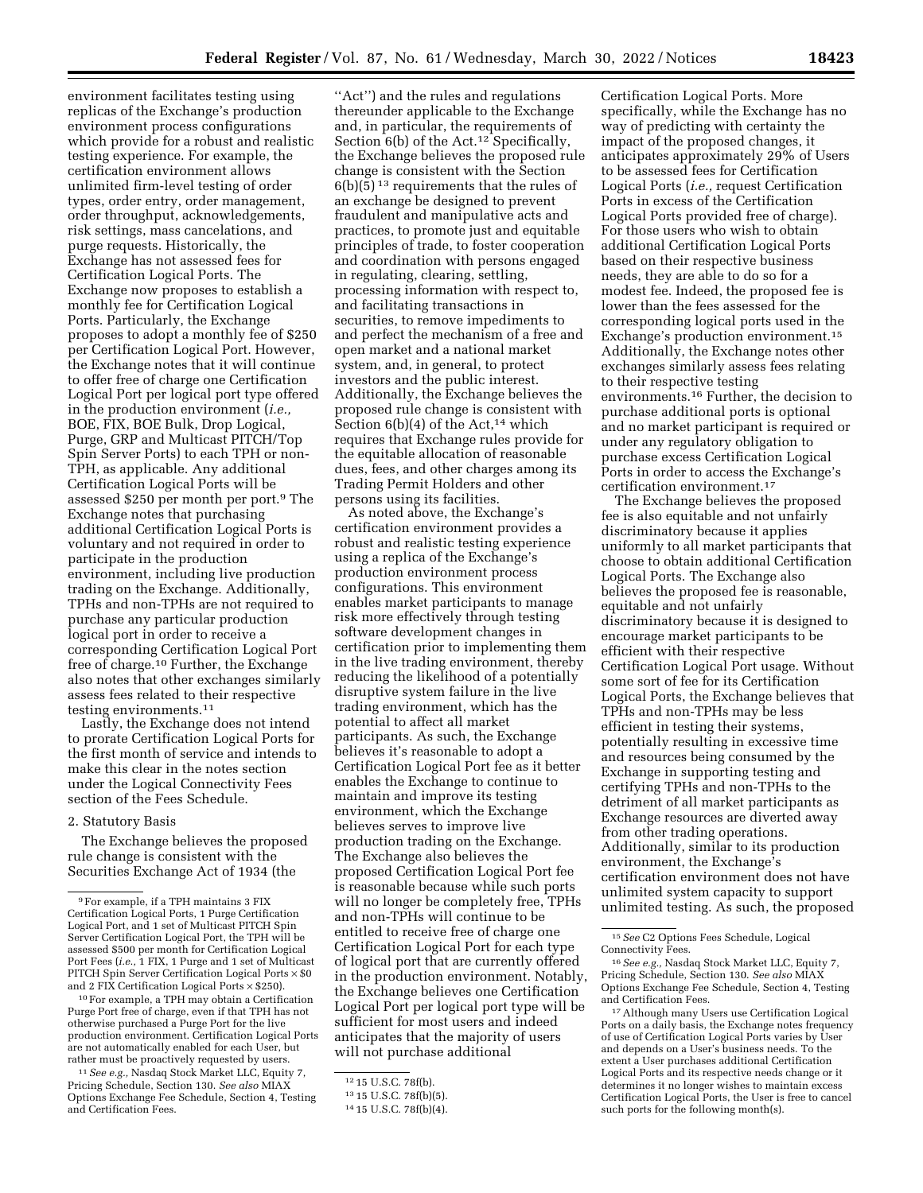environment facilitates testing using replicas of the Exchange's production environment process configurations which provide for a robust and realistic testing experience. For example, the certification environment allows unlimited firm-level testing of order types, order entry, order management, order throughput, acknowledgements, risk settings, mass cancelations, and purge requests. Historically, the Exchange has not assessed fees for Certification Logical Ports. The Exchange now proposes to establish a monthly fee for Certification Logical Ports. Particularly, the Exchange proposes to adopt a monthly fee of \$250 per Certification Logical Port. However, the Exchange notes that it will continue to offer free of charge one Certification Logical Port per logical port type offered in the production environment (*i.e.,*  BOE, FIX, BOE Bulk, Drop Logical, Purge, GRP and Multicast PITCH/Top Spin Server Ports) to each TPH or non-TPH, as applicable. Any additional Certification Logical Ports will be assessed \$250 per month per port.9 The Exchange notes that purchasing additional Certification Logical Ports is voluntary and not required in order to participate in the production environment, including live production trading on the Exchange. Additionally, TPHs and non-TPHs are not required to purchase any particular production logical port in order to receive a corresponding Certification Logical Port free of charge.10 Further, the Exchange also notes that other exchanges similarly assess fees related to their respective testing environments.11

Lastly, the Exchange does not intend to prorate Certification Logical Ports for the first month of service and intends to make this clear in the notes section under the Logical Connectivity Fees section of the Fees Schedule.

#### 2. Statutory Basis

The Exchange believes the proposed rule change is consistent with the Securities Exchange Act of 1934 (the

10For example, a TPH may obtain a Certification Purge Port free of charge, even if that TPH has not otherwise purchased a Purge Port for the live production environment. Certification Logical Ports are not automatically enabled for each User, but rather must be proactively requested by users.

11*See e.g.,* Nasdaq Stock Market LLC, Equity 7, Pricing Schedule, Section 130. *See also* MIAX Options Exchange Fee Schedule, Section 4, Testing and Certification Fees.

"Act") and the rules and regulations thereunder applicable to the Exchange and, in particular, the requirements of Section 6(b) of the Act.<sup>12</sup> Specifically, the Exchange believes the proposed rule change is consistent with the Section 6(b)(5) 13 requirements that the rules of an exchange be designed to prevent fraudulent and manipulative acts and practices, to promote just and equitable principles of trade, to foster cooperation and coordination with persons engaged in regulating, clearing, settling, processing information with respect to, and facilitating transactions in securities, to remove impediments to and perfect the mechanism of a free and open market and a national market system, and, in general, to protect investors and the public interest. Additionally, the Exchange believes the proposed rule change is consistent with Section  $6(b)(4)$  of the Act,<sup>14</sup> which requires that Exchange rules provide for the equitable allocation of reasonable dues, fees, and other charges among its Trading Permit Holders and other persons using its facilities.

As noted above, the Exchange's certification environment provides a robust and realistic testing experience using a replica of the Exchange's production environment process configurations. This environment enables market participants to manage risk more effectively through testing software development changes in certification prior to implementing them in the live trading environment, thereby reducing the likelihood of a potentially disruptive system failure in the live trading environment, which has the potential to affect all market participants. As such, the Exchange believes it's reasonable to adopt a Certification Logical Port fee as it better enables the Exchange to continue to maintain and improve its testing environment, which the Exchange believes serves to improve live production trading on the Exchange. The Exchange also believes the proposed Certification Logical Port fee is reasonable because while such ports will no longer be completely free, TPHs and non-TPHs will continue to be entitled to receive free of charge one Certification Logical Port for each type of logical port that are currently offered in the production environment. Notably, the Exchange believes one Certification Logical Port per logical port type will be sufficient for most users and indeed anticipates that the majority of users will not purchase additional

Certification Logical Ports. More specifically, while the Exchange has no way of predicting with certainty the impact of the proposed changes, it anticipates approximately 29% of Users to be assessed fees for Certification Logical Ports (*i.e.,* request Certification Ports in excess of the Certification Logical Ports provided free of charge). For those users who wish to obtain additional Certification Logical Ports based on their respective business needs, they are able to do so for a modest fee. Indeed, the proposed fee is lower than the fees assessed for the corresponding logical ports used in the Exchange's production environment.15 Additionally, the Exchange notes other exchanges similarly assess fees relating to their respective testing environments.16 Further, the decision to purchase additional ports is optional and no market participant is required or under any regulatory obligation to purchase excess Certification Logical Ports in order to access the Exchange's certification environment.17

The Exchange believes the proposed fee is also equitable and not unfairly discriminatory because it applies uniformly to all market participants that choose to obtain additional Certification Logical Ports. The Exchange also believes the proposed fee is reasonable, equitable and not unfairly discriminatory because it is designed to encourage market participants to be efficient with their respective Certification Logical Port usage. Without some sort of fee for its Certification Logical Ports, the Exchange believes that TPHs and non-TPHs may be less efficient in testing their systems, potentially resulting in excessive time and resources being consumed by the Exchange in supporting testing and certifying TPHs and non-TPHs to the detriment of all market participants as Exchange resources are diverted away from other trading operations. Additionally, similar to its production environment, the Exchange's certification environment does not have unlimited system capacity to support unlimited testing. As such, the proposed

<sup>9</sup>For example, if a TPH maintains 3 FIX Certification Logical Ports, 1 Purge Certification Logical Port, and 1 set of Multicast PITCH Spin Server Certification Logical Port, the TPH will be assessed \$500 per month for Certification Logical Port Fees (*i.e.,* 1 FIX, 1 Purge and 1 set of Multicast PITCH Spin Server Certification Logical Ports  $\times$  \$0 and 2 FIX Certification Logical Ports × \$250).

<sup>12</sup> 15 U.S.C. 78f(b).

<sup>13</sup> 15 U.S.C. 78f(b)(5).

<sup>14</sup> 15 U.S.C. 78f(b)(4).

<sup>15</sup>*See* C2 Options Fees Schedule, Logical Connectivity Fees.

<sup>16</sup>*See e.g.,* Nasdaq Stock Market LLC, Equity 7, Pricing Schedule, Section 130. *See also* MIAX Options Exchange Fee Schedule, Section 4, Testing and Certification Fees.

<sup>17</sup>Although many Users use Certification Logical Ports on a daily basis, the Exchange notes frequency of use of Certification Logical Ports varies by User and depends on a User's business needs. To the extent a User purchases additional Certification Logical Ports and its respective needs change or it determines it no longer wishes to maintain excess Certification Logical Ports, the User is free to cancel such ports for the following month(s).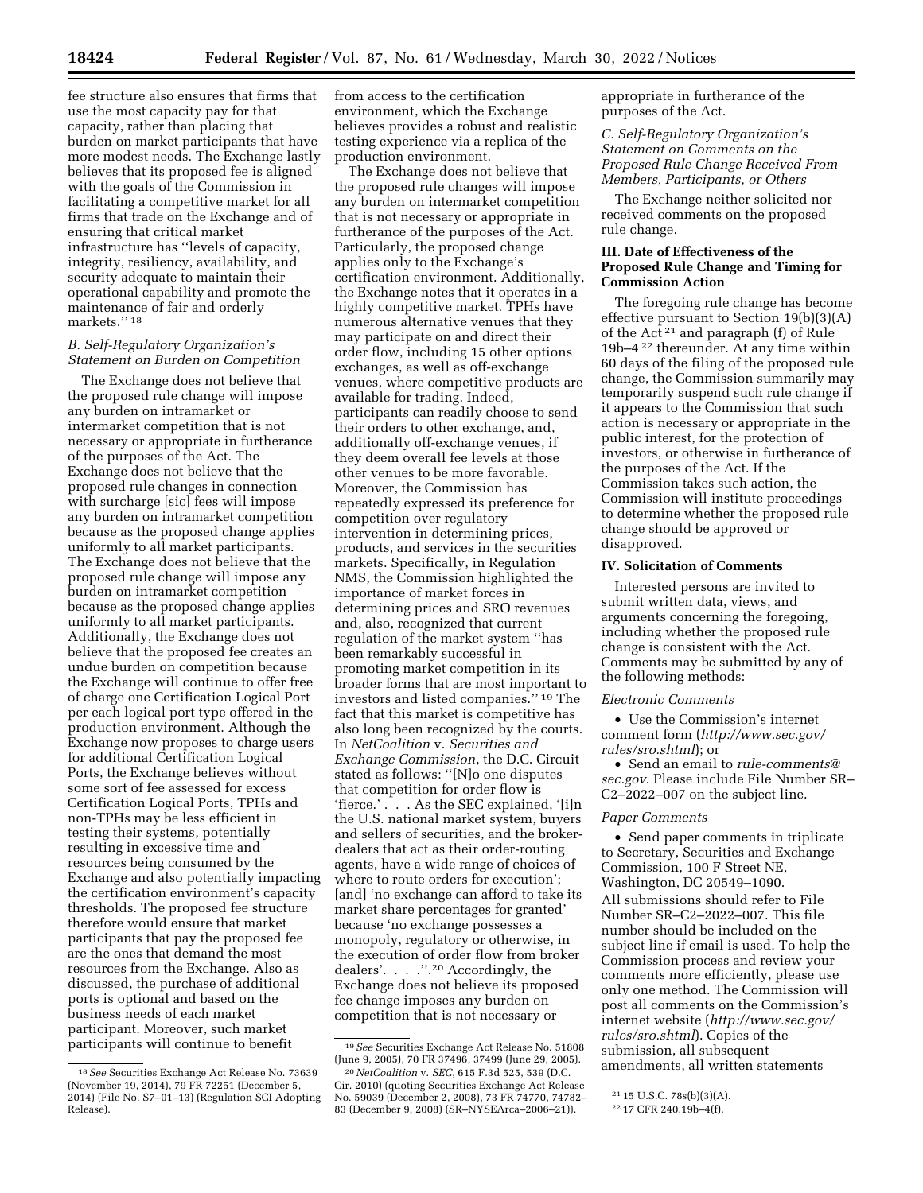fee structure also ensures that firms that use the most capacity pay for that capacity, rather than placing that burden on market participants that have more modest needs. The Exchange lastly believes that its proposed fee is aligned with the goals of the Commission in facilitating a competitive market for all firms that trade on the Exchange and of ensuring that critical market infrastructure has ''levels of capacity, integrity, resiliency, availability, and security adequate to maintain their operational capability and promote the maintenance of fair and orderly markets.'' 18

#### *B. Self-Regulatory Organization's Statement on Burden on Competition*

The Exchange does not believe that the proposed rule change will impose any burden on intramarket or intermarket competition that is not necessary or appropriate in furtherance of the purposes of the Act. The Exchange does not believe that the proposed rule changes in connection with surcharge [sic] fees will impose any burden on intramarket competition because as the proposed change applies uniformly to all market participants. The Exchange does not believe that the proposed rule change will impose any burden on intramarket competition because as the proposed change applies uniformly to all market participants. Additionally, the Exchange does not believe that the proposed fee creates an undue burden on competition because the Exchange will continue to offer free of charge one Certification Logical Port per each logical port type offered in the production environment. Although the Exchange now proposes to charge users for additional Certification Logical Ports, the Exchange believes without some sort of fee assessed for excess Certification Logical Ports, TPHs and non-TPHs may be less efficient in testing their systems, potentially resulting in excessive time and resources being consumed by the Exchange and also potentially impacting the certification environment's capacity thresholds. The proposed fee structure therefore would ensure that market participants that pay the proposed fee are the ones that demand the most resources from the Exchange. Also as discussed, the purchase of additional ports is optional and based on the business needs of each market participant. Moreover, such market participants will continue to benefit

from access to the certification environment, which the Exchange believes provides a robust and realistic testing experience via a replica of the production environment.

The Exchange does not believe that the proposed rule changes will impose any burden on intermarket competition that is not necessary or appropriate in furtherance of the purposes of the Act. Particularly, the proposed change applies only to the Exchange's certification environment. Additionally, the Exchange notes that it operates in a highly competitive market. TPHs have numerous alternative venues that they may participate on and direct their order flow, including 15 other options exchanges, as well as off-exchange venues, where competitive products are available for trading. Indeed, participants can readily choose to send their orders to other exchange, and, additionally off-exchange venues, if they deem overall fee levels at those other venues to be more favorable. Moreover, the Commission has repeatedly expressed its preference for competition over regulatory intervention in determining prices, products, and services in the securities markets. Specifically, in Regulation NMS, the Commission highlighted the importance of market forces in determining prices and SRO revenues and, also, recognized that current regulation of the market system ''has been remarkably successful in promoting market competition in its broader forms that are most important to investors and listed companies.'' 19 The fact that this market is competitive has also long been recognized by the courts. In *NetCoalition* v. *Securities and Exchange Commission*, the D.C. Circuit stated as follows: ''[N]o one disputes that competition for order flow is 'fierce.' . . . As the SEC explained, '[i]n the U.S. national market system, buyers and sellers of securities, and the brokerdealers that act as their order-routing agents, have a wide range of choices of where to route orders for execution'; [and] 'no exchange can afford to take its market share percentages for granted' because 'no exchange possesses a monopoly, regulatory or otherwise, in the execution of order flow from broker dealers'. . . .''.20 Accordingly, the Exchange does not believe its proposed fee change imposes any burden on competition that is not necessary or

appropriate in furtherance of the purposes of the Act.

*C. Self-Regulatory Organization's Statement on Comments on the Proposed Rule Change Received From Members, Participants, or Others* 

The Exchange neither solicited nor received comments on the proposed rule change.

### **III. Date of Effectiveness of the Proposed Rule Change and Timing for Commission Action**

The foregoing rule change has become effective pursuant to Section 19(b)(3)(A) of the Act 21 and paragraph (f) of Rule 19b–4 22 thereunder. At any time within 60 days of the filing of the proposed rule change, the Commission summarily may temporarily suspend such rule change if it appears to the Commission that such action is necessary or appropriate in the public interest, for the protection of investors, or otherwise in furtherance of the purposes of the Act. If the Commission takes such action, the Commission will institute proceedings to determine whether the proposed rule change should be approved or disapproved.

#### **IV. Solicitation of Comments**

Interested persons are invited to submit written data, views, and arguments concerning the foregoing, including whether the proposed rule change is consistent with the Act. Comments may be submitted by any of the following methods:

#### *Electronic Comments*

• Use the Commission's internet comment form (*[http://www.sec.gov/](http://www.sec.gov/rules/sro.shtml)  [rules/sro.shtml](http://www.sec.gov/rules/sro.shtml)*); or

• Send an email to *[rule-comments@](mailto:rule-comments@sec.gov) [sec.gov](mailto:rule-comments@sec.gov)*. Please include File Number SR– C2–2022–007 on the subject line.

#### *Paper Comments*

• Send paper comments in triplicate to Secretary, Securities and Exchange Commission, 100 F Street NE, Washington, DC 20549–1090.

All submissions should refer to File Number SR–C2–2022–007. This file number should be included on the subject line if email is used. To help the Commission process and review your comments more efficiently, please use only one method. The Commission will post all comments on the Commission's internet website (*[http://www.sec.gov/](http://www.sec.gov/rules/sro.shtml)  [rules/sro.shtml](http://www.sec.gov/rules/sro.shtml)*). Copies of the submission, all subsequent amendments, all written statements

<sup>18</sup>*See* Securities Exchange Act Release No. 73639 (November 19, 2014), 79 FR 72251 (December 5, 2014) (File No. S7–01–13) (Regulation SCI Adopting Release).

<sup>19</sup>*See* Securities Exchange Act Release No. 51808 (June 9, 2005), 70 FR 37496, 37499 (June 29, 2005).

<sup>20</sup>*NetCoalition* v. *SEC*, 615 F.3d 525, 539 (D.C. Cir. 2010) (quoting Securities Exchange Act Release No. 59039 (December 2, 2008), 73 FR 74770, 74782– 83 (December 9, 2008) (SR–NYSEArca–2006–21)).

<sup>21</sup> 15 U.S.C. 78s(b)(3)(A).

<sup>22</sup> 17 CFR 240.19b–4(f).